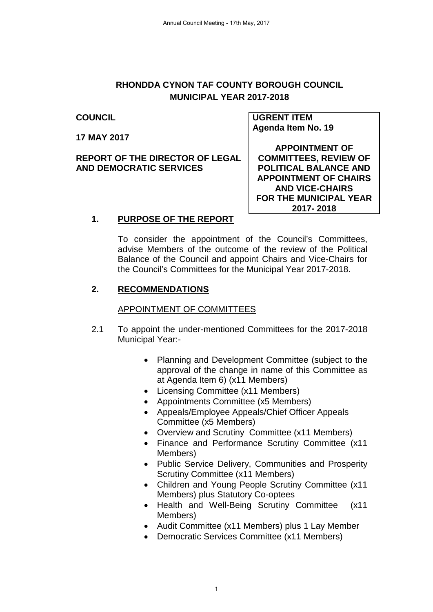# **RHONDDA CYNON TAF COUNTY BOROUGH COUNCIL MUNICIPAL YEAR 2017-2018**

#### **COUNCIL**

**17 MAY 2017**

#### **REPORT OF THE DIRECTOR OF LEGAL AND DEMOCRATIC SERVICES**

**UGRENT ITEM Agenda Item No. 19**

**APPOINTMENT OF COMMITTEES, REVIEW OF POLITICAL BALANCE AND APPOINTMENT OF CHAIRS AND VICE-CHAIRS FOR THE MUNICIPAL YEAR 2017- 2018**

### **1. PURPOSE OF THE REPORT**

To consider the appointment of the Council's Committees, advise Members of the outcome of the review of the Political Balance of the Council and appoint Chairs and Vice-Chairs for the Council's Committees for the Municipal Year 2017-2018.

### **2. RECOMMENDATIONS**

### APPOINTMENT OF COMMITTEES

- 2.1 To appoint the under-mentioned Committees for the 2017-2018 Municipal Year:-
	- Planning and Development Committee (subject to the approval of the change in name of this Committee as at Agenda Item 6) (x11 Members)
	- Licensing Committee (x11 Members)
	- Appointments Committee (x5 Members)
	- Appeals/Employee Appeals/Chief Officer Appeals Committee (x5 Members)
	- Overview and Scrutiny Committee (x11 Members)
	- Finance and Performance Scrutiny Committee (x11 Members)
	- Public Service Delivery, Communities and Prosperity Scrutiny Committee (x11 Members)
	- Children and Young People Scrutiny Committee (x11 Members) plus Statutory Co-optees
	- Health and Well-Being Scrutiny Committee (x11 Members)
	- Audit Committee (x11 Members) plus 1 Lay Member
	- Democratic Services Committee (x11 Members)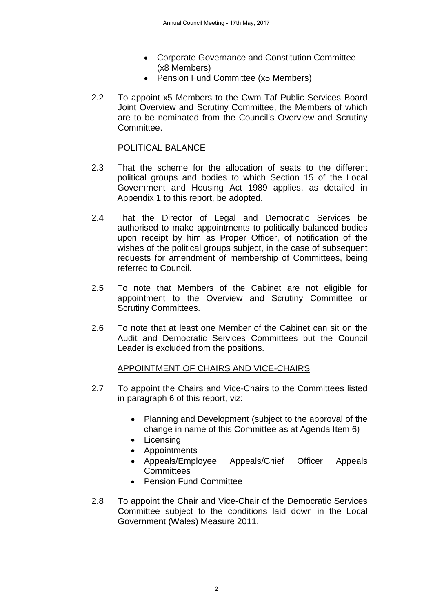- Corporate Governance and Constitution Committee (x8 Members)
- Pension Fund Committee (x5 Members)
- 2.2 To appoint x5 Members to the Cwm Taf Public Services Board Joint Overview and Scrutiny Committee, the Members of which are to be nominated from the Council's Overview and Scrutiny Committee.

#### POLITICAL BALANCE

- 2.3 That the scheme for the allocation of seats to the different political groups and bodies to which Section 15 of the Local Government and Housing Act 1989 applies, as detailed in Appendix 1 to this report, be adopted.
- 2.4 That the Director of Legal and Democratic Services be authorised to make appointments to politically balanced bodies upon receipt by him as Proper Officer, of notification of the wishes of the political groups subject, in the case of subsequent requests for amendment of membership of Committees, being referred to Council.
- 2.5 To note that Members of the Cabinet are not eligible for appointment to the Overview and Scrutiny Committee or Scrutiny Committees.
- 2.6 To note that at least one Member of the Cabinet can sit on the Audit and Democratic Services Committees but the Council Leader is excluded from the positions.

#### APPOINTMENT OF CHAIRS AND VICE-CHAIRS

- 2.7 To appoint the Chairs and Vice-Chairs to the Committees listed in paragraph 6 of this report, viz:
	- Planning and Development (subject to the approval of the change in name of this Committee as at Agenda Item 6)
	- Licensing
	- Appointments
	- Appeals/Employee Appeals/Chief Officer Appeals **Committees**
	- Pension Fund Committee
- 2.8 To appoint the Chair and Vice-Chair of the Democratic Services Committee subject to the conditions laid down in the Local Government (Wales) Measure 2011.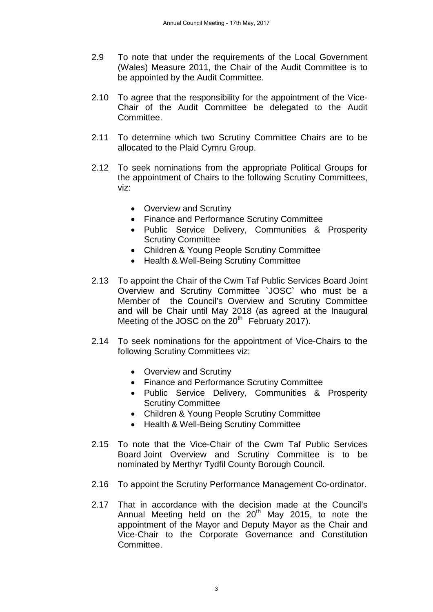- 2.9 To note that under the requirements of the Local Government (Wales) Measure 2011, the Chair of the Audit Committee is to be appointed by the Audit Committee.
- 2.10 To agree that the responsibility for the appointment of the Vice-Chair of the Audit Committee be delegated to the Audit Committee.
- 2.11 To determine which two Scrutiny Committee Chairs are to be allocated to the Plaid Cymru Group.
- 2.12 To seek nominations from the appropriate Political Groups for the appointment of Chairs to the following Scrutiny Committees, viz:
	- Overview and Scrutiny
	- Finance and Performance Scrutiny Committee
	- Public Service Delivery, Communities & Prosperity Scrutiny Committee
	- Children & Young People Scrutiny Committee
	- Health & Well-Being Scrutiny Committee
- 2.13 To appoint the Chair of the Cwm Taf Public Services Board Joint Overview and Scrutiny Committee `JOSC` who must be a Member of the Council's Overview and Scrutiny Committee and will be Chair until May 2018 (as agreed at the Inaugural Meeting of the JOSC on the 20<sup>th</sup> February 2017).
- 2.14 To seek nominations for the appointment of Vice-Chairs to the following Scrutiny Committees viz:
	- Overview and Scrutiny
	- Finance and Performance Scrutiny Committee
	- Public Service Delivery, Communities & Prosperity Scrutiny Committee
	- Children & Young People Scrutiny Committee
	- Health & Well-Being Scrutiny Committee
- 2.15 To note that the Vice-Chair of the Cwm Taf Public Services Board Joint Overview and Scrutiny Committee is to be nominated by Merthyr Tydfil County Borough Council.
- 2.16 To appoint the Scrutiny Performance Management Co-ordinator.
- 2.17 That in accordance with the decision made at the Council's Annual Meeting held on the  $20<sup>th</sup>$  May 2015, to note the appointment of the Mayor and Deputy Mayor as the Chair and Vice-Chair to the Corporate Governance and Constitution Committee.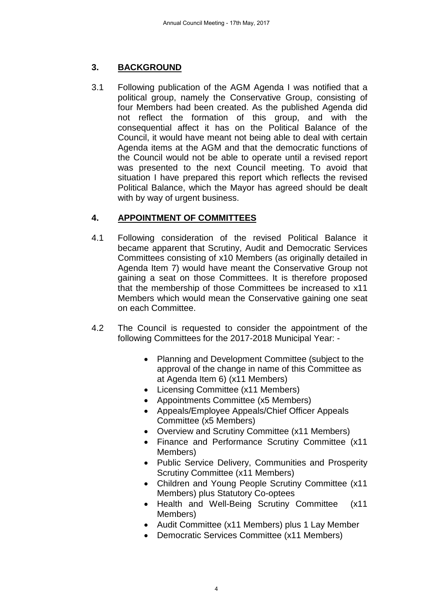# **3. BACKGROUND**

3.1 Following publication of the AGM Agenda I was notified that a political group, namely the Conservative Group, consisting of four Members had been created. As the published Agenda did not reflect the formation of this group, and with the consequential affect it has on the Political Balance of the Council, it would have meant not being able to deal with certain Agenda items at the AGM and that the democratic functions of the Council would not be able to operate until a revised report was presented to the next Council meeting. To avoid that situation I have prepared this report which reflects the revised Political Balance, which the Mayor has agreed should be dealt with by way of urgent business.

### **4. APPOINTMENT OF COMMITTEES**

- 4.1 Following consideration of the revised Political Balance it became apparent that Scrutiny, Audit and Democratic Services Committees consisting of x10 Members (as originally detailed in Agenda Item 7) would have meant the Conservative Group not gaining a seat on those Committees. It is therefore proposed that the membership of those Committees be increased to x11 Members which would mean the Conservative gaining one seat on each Committee.
- 4.2 The Council is requested to consider the appointment of the following Committees for the 2017-2018 Municipal Year: -
	- Planning and Development Committee (subject to the approval of the change in name of this Committee as at Agenda Item 6) (x11 Members)
	- Licensing Committee (x11 Members)
	- Appointments Committee (x5 Members)
	- Appeals/Employee Appeals/Chief Officer Appeals Committee (x5 Members)
	- Overview and Scrutiny Committee (x11 Members)
	- Finance and Performance Scrutiny Committee (x11 Members)
	- Public Service Delivery, Communities and Prosperity Scrutiny Committee (x11 Members)
	- Children and Young People Scrutiny Committee (x11 Members) plus Statutory Co-optees
	- Health and Well-Being Scrutiny Committee (x11 Members)
	- Audit Committee (x11 Members) plus 1 Lay Member
	- Democratic Services Committee (x11 Members)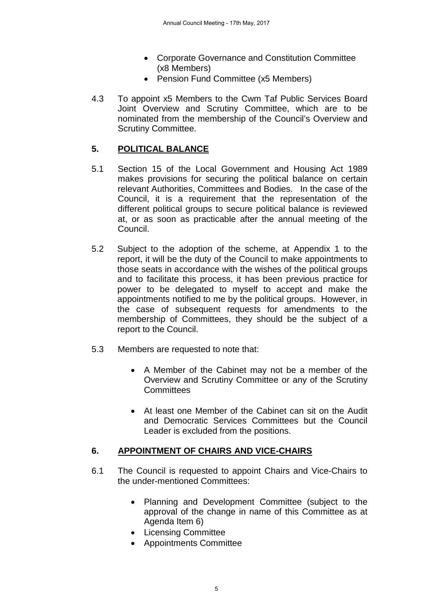- Corporate Governance and Constitution Committee (x8 Members)
- Pension Fund Committee (x5 Members)
- 4.3 To appoint x5 Members to the Cwm Taf Public Services Board Joint Overview and Scrutiny Committee, which are to be nominated from the membership of the Council's Overview and Scrutiny Committee.

## **5. POLITICAL BALANCE**

- 5.1 Section 15 of the Local Government and Housing Act 1989 makes provisions for securing the political balance on certain relevant Authorities, Committees and Bodies. In the case of the Council, it is a requirement that the representation of the different political groups to secure political balance is reviewed at, or as soon as practicable after the annual meeting of the Council.
- 5.2 Subject to the adoption of the scheme, at Appendix 1 to the report, it will be the duty of the Council to make appointments to those seats in accordance with the wishes of the political groups and to facilitate this process, it has been previous practice for power to be delegated to myself to accept and make the appointments notified to me by the political groups. However, in the case of subsequent requests for amendments to the membership of Committees, they should be the subject of a report to the Council.
- 5.3 Members are requested to note that:
	- A Member of the Cabinet may not be a member of the Overview and Scrutiny Committee or any of the Scrutiny **Committees**
	- At least one Member of the Cabinet can sit on the Audit and Democratic Services Committees but the Council Leader is excluded from the positions.

### **6. APPOINTMENT OF CHAIRS AND VICE-CHAIRS**

- 6.1 The Council is requested to appoint Chairs and Vice-Chairs to the under-mentioned Committees:
	- Planning and Development Committee (subject to the approval of the change in name of this Committee as at Agenda Item 6)
	- Licensing Committee
	- Appointments Committee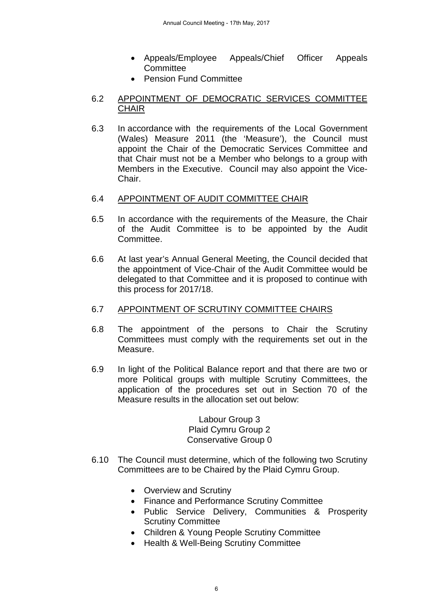- Appeals/Employee Appeals/Chief Officer Appeals **Committee**
- Pension Fund Committee

#### 6.2 APPOINTMENT OF DEMOCRATIC SERVICES COMMITTEE **CHAIR**

6.3 In accordance with the requirements of the Local Government (Wales) Measure 2011 (the 'Measure'), the Council must appoint the Chair of the Democratic Services Committee and that Chair must not be a Member who belongs to a group with Members in the Executive. Council may also appoint the Vice-Chair.

#### 6.4 APPOINTMENT OF AUDIT COMMITTEE CHAIR

- 6.5 In accordance with the requirements of the Measure, the Chair of the Audit Committee is to be appointed by the Audit Committee.
- 6.6 At last year's Annual General Meeting, the Council decided that the appointment of Vice-Chair of the Audit Committee would be delegated to that Committee and it is proposed to continue with this process for 2017/18.

#### 6.7 APPOINTMENT OF SCRUTINY COMMITTEE CHAIRS

- 6.8 The appointment of the persons to Chair the Scrutiny Committees must comply with the requirements set out in the Measure.
- 6.9 In light of the Political Balance report and that there are two or more Political groups with multiple Scrutiny Committees, the application of the procedures set out in Section 70 of the Measure results in the allocation set out below:

#### Labour Group 3 Plaid Cymru Group 2 Conservative Group 0

- 6.10 The Council must determine, which of the following two Scrutiny Committees are to be Chaired by the Plaid Cymru Group.
	- Overview and Scrutiny
	- Finance and Performance Scrutiny Committee
	- Public Service Delivery, Communities & Prosperity Scrutiny Committee
	- Children & Young People Scrutiny Committee
	- Health & Well-Being Scrutiny Committee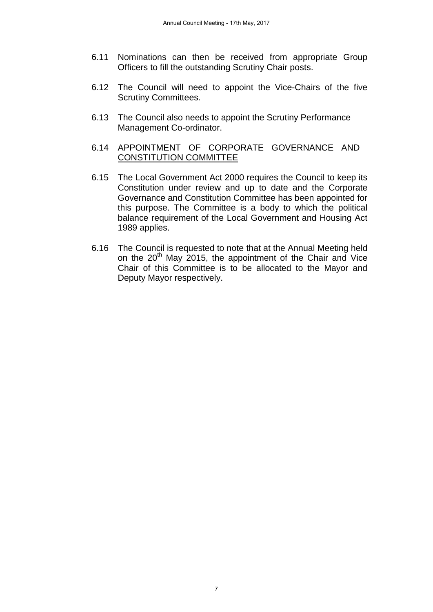- 6.11 Nominations can then be received from appropriate Group Officers to fill the outstanding Scrutiny Chair posts.
- 6.12 The Council will need to appoint the Vice-Chairs of the five Scrutiny Committees.
- 6.13 The Council also needs to appoint the Scrutiny Performance Management Co-ordinator.
- 6.14 APPOINTMENT OF CORPORATE GOVERNANCE AND CONSTITUTION COMMITTEE
- 6.15 The Local Government Act 2000 requires the Council to keep its Constitution under review and up to date and the Corporate Governance and Constitution Committee has been appointed for this purpose. The Committee is a body to which the political balance requirement of the Local Government and Housing Act 1989 applies.
- 6.16 The Council is requested to note that at the Annual Meeting held on the  $20<sup>th</sup>$  May 2015, the appointment of the Chair and Vice Chair of this Committee is to be allocated to the Mayor and Deputy Mayor respectively.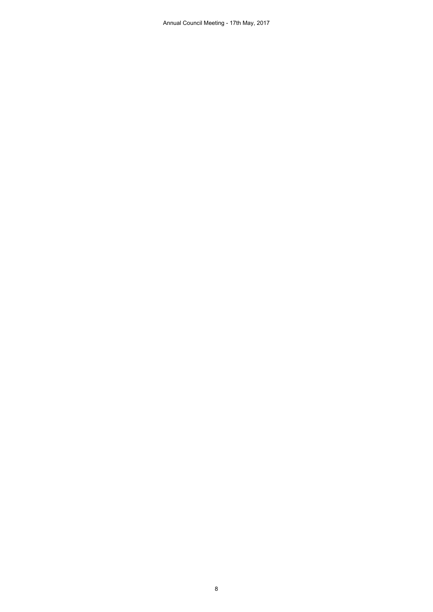Annual Council Meeting - 17th May, 2017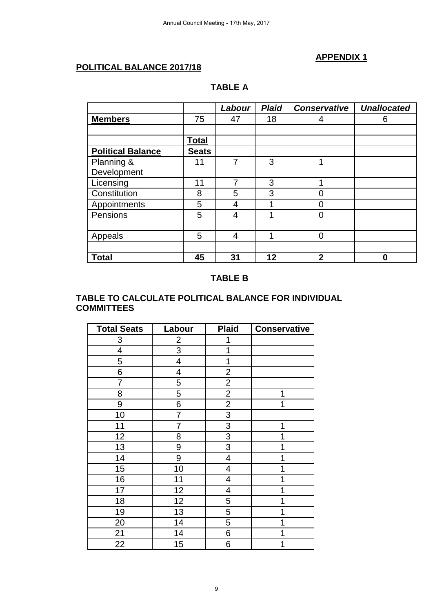### **APPENDIX 1**

## **POLITICAL BALANCE 2017/18**

# **TABLE A**

|                          |              | Labour | <b>Plaid</b> | <b>Conservative</b> | <b>Unallocated</b> |
|--------------------------|--------------|--------|--------------|---------------------|--------------------|
| <b>Members</b>           | 75           | 47     | 18           | 4                   | 6                  |
|                          |              |        |              |                     |                    |
|                          | <b>Total</b> |        |              |                     |                    |
| <b>Political Balance</b> | <b>Seats</b> |        |              |                     |                    |
| <b>Planning &amp;</b>    | 11           | 7      | 3            |                     |                    |
| Development              |              |        |              |                     |                    |
| Licensing                | 11           | 7      | 3            |                     |                    |
| Constitution             | 8            | 5      | 3            | 0                   |                    |
| Appointments             | 5            | 4      |              | 0                   |                    |
| Pensions                 | 5            | 4      |              | $\Omega$            |                    |
|                          |              |        |              |                     |                    |
| Appeals                  | 5            | 4      |              | 0                   |                    |
|                          |              |        |              |                     |                    |
| <b>Total</b>             | 45           | 31     | 12           | $\overline{2}$      | 0                  |

## **TABLE B**

#### **TABLE TO CALCULATE POLITICAL BALANCE FOR INDIVIDUAL COMMITTEES**

| <b>Total Seats</b> | Labour                   | <b>Plaid</b>   | <b>Conservative</b> |
|--------------------|--------------------------|----------------|---------------------|
| 3                  | $\overline{c}$           | 1              |                     |
| 4                  | 3                        | 1              |                     |
| 5                  | 4                        | 1              |                     |
| 6                  | $\overline{\mathcal{A}}$ | $\overline{2}$ |                     |
| 7                  | 5                        | $\overline{2}$ |                     |
| 8                  | 5                        | $\overline{2}$ | 1                   |
| 9                  | 6                        | $\overline{2}$ | 1                   |
| 10                 | 7                        | 3              |                     |
| 11                 | 7                        | 3              | 1                   |
| 12                 | 8                        | 3              | 1                   |
| 13                 | 9                        | 3              | 1                   |
| 14                 | 9                        | 4              |                     |
| 15                 | 10                       | 4              |                     |
| 16                 | 11                       | 4              |                     |
| 17                 | 12                       | 4              | 1                   |
| 18                 | $\overline{12}$          | 5              | 1                   |
| 19                 | 13                       | 5              | 1                   |
| 20                 | 14                       | 5              | 1                   |
| 21                 | 14                       | 6              | 1                   |
| 22                 | 15                       | 6              | 1                   |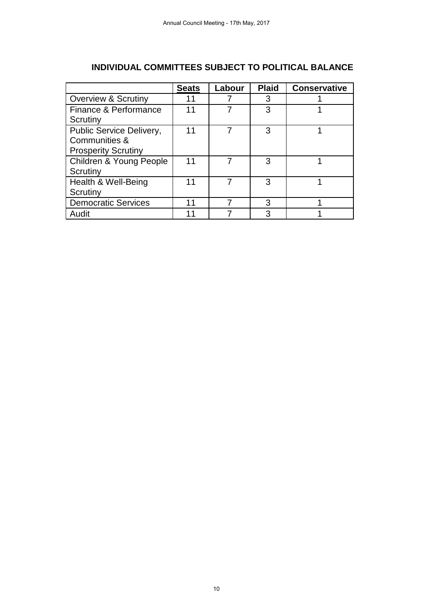|                                                                         | <b>Seats</b> | Labour | <b>Plaid</b> | <b>Conservative</b> |
|-------------------------------------------------------------------------|--------------|--------|--------------|---------------------|
| <b>Overview &amp; Scrutiny</b>                                          |              |        | 3            |                     |
| Finance & Performance<br>Scrutiny                                       |              |        | 3            |                     |
| Public Service Delivery,<br>Communities &<br><b>Prosperity Scrutiny</b> | 11           |        | 3            |                     |
| Children & Young People<br>Scrutiny                                     | 11           |        | 3            |                     |
| Health & Well-Being<br>Scrutiny                                         | 11           |        | 3            |                     |
| <b>Democratic Services</b>                                              | 11           |        | 3            |                     |
| Audit                                                                   |              |        | 3            |                     |

## **INDIVIDUAL COMMITTEES SUBJECT TO POLITICAL BALANCE**